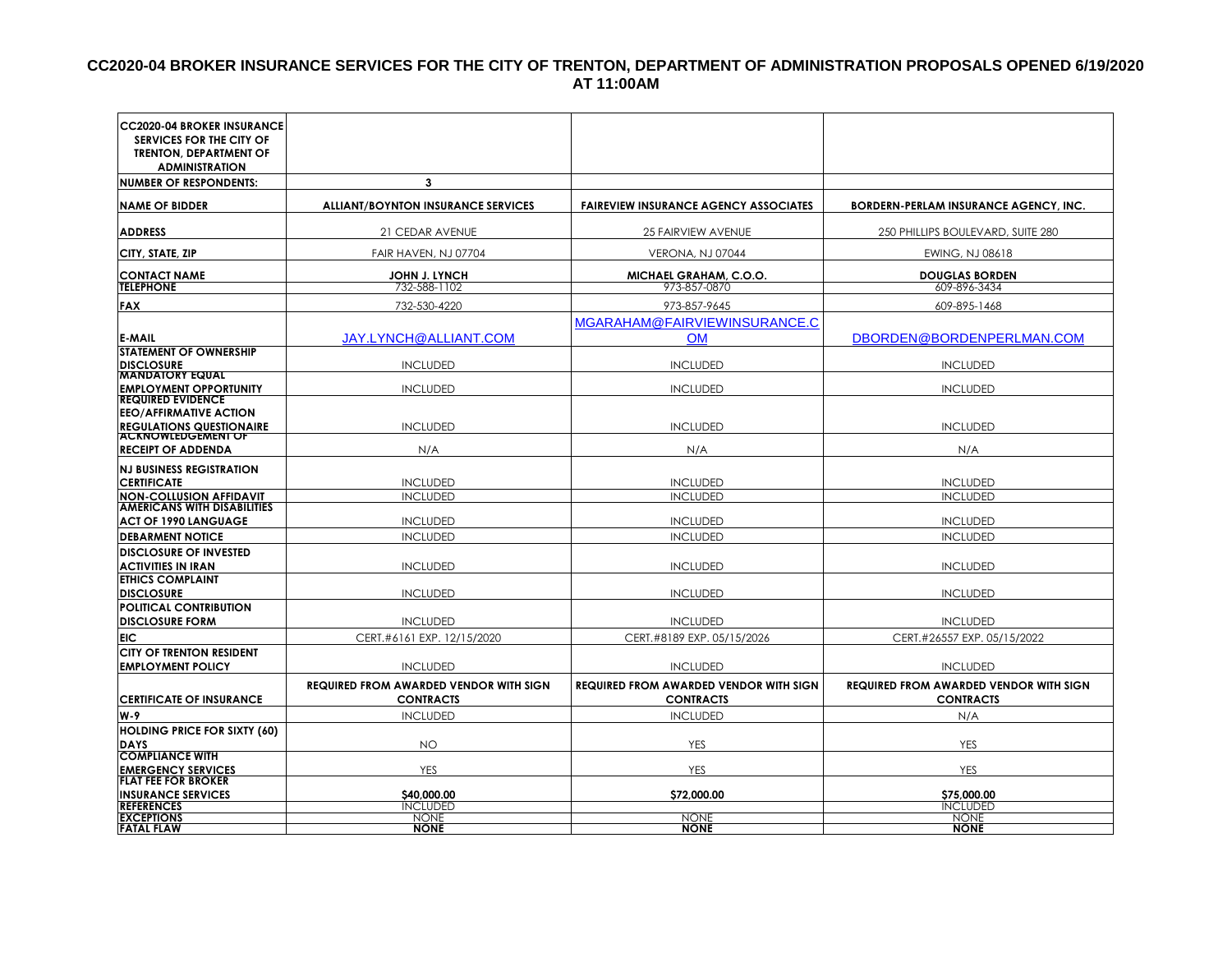#### **CC2020-04 BROKER INSURANCE SERVICES FOR THE CITY OF TRENTON, DEPARTMENT OF ADMINISTRATION PROPOSALS OPENED 6/19/2020 AT 11:00AM**

| <b>CC2020-04 BROKER INSURANCE</b><br>SERVICES FOR THE CITY OF |                                                                   |                                                                   |                                                                   |
|---------------------------------------------------------------|-------------------------------------------------------------------|-------------------------------------------------------------------|-------------------------------------------------------------------|
| <b>TRENTON, DEPARTMENT OF</b><br><b>ADMINISTRATION</b>        |                                                                   |                                                                   |                                                                   |
| <b>NUMBER OF RESPONDENTS:</b>                                 | 3                                                                 |                                                                   |                                                                   |
| <b>NAME OF BIDDER</b>                                         | <b>ALLIANT/BOYNTON INSURANCE SERVICES</b>                         | <b>FAIREVIEW INSURANCE AGENCY ASSOCIATES</b>                      | <b>BORDERN-PERLAM INSURANCE AGENCY, INC.</b>                      |
|                                                               |                                                                   |                                                                   |                                                                   |
| <b>ADDRESS</b>                                                | 21 CEDAR AVENUE                                                   | 25 FAIRVIEW AVENUE                                                | 250 PHILLIPS BOULEVARD, SUITE 280                                 |
| CITY, STATE, ZIP                                              | FAIR HAVEN, NJ 07704                                              | VERONA, NJ 07044                                                  | EWING, NJ 08618                                                   |
| <b>CONTACT NAME</b>                                           | <b>JOHN J. LYNCH</b>                                              | <b>MICHAEL GRAHAM, C.O.O.</b>                                     | <b>DOUGLAS BORDEN</b>                                             |
| <b>TELEPHONE</b>                                              | 732-588-1102                                                      | 973-857-0870                                                      | 609-896-3434                                                      |
| <b>FAX</b>                                                    | 732-530-4220                                                      | 973-857-9645                                                      | 609-895-1468                                                      |
|                                                               |                                                                   | MGARAHAM@FAIRVIEWINSURANCE.C                                      |                                                                   |
| <b>E-MAIL</b>                                                 | JAY.LYNCH@ALLIANT.COM                                             | <b>OM</b>                                                         | DBORDEN@BORDENPERLMAN.COM                                         |
| <b>STATEMENT OF OWNERSHIP</b><br><b>DISCLOSURE</b>            | <b>INCLUDED</b>                                                   | <b>INCLUDED</b>                                                   | <b>INCLUDED</b>                                                   |
| <b>MANDATORY EQUAL</b>                                        |                                                                   |                                                                   |                                                                   |
| <b>EMPLOYMENT OPPORTUNITY</b>                                 | <b>INCLUDED</b>                                                   | <b>INCLUDED</b>                                                   | <b>INCLUDED</b>                                                   |
| <b>REQUIRED EVIDENCE</b><br><b>EEO/AFFIRMATIVE ACTION</b>     |                                                                   |                                                                   |                                                                   |
| <b>REGULATIONS QUESTIONAIRE</b>                               | <b>INCLUDED</b>                                                   | <b>INCLUDED</b>                                                   | <b>INCLUDED</b>                                                   |
| <b>ACKNOWLEDGEMENT OF</b>                                     |                                                                   |                                                                   |                                                                   |
| <b>RECEIPT OF ADDENDA</b>                                     | N/A                                                               | N/A                                                               | N/A                                                               |
| <b>NJ BUSINESS REGISTRATION</b>                               |                                                                   |                                                                   |                                                                   |
| <b>CERTIFICATE</b><br><b>NON-COLLUSION AFFIDAVIT</b>          | <b>INCLUDED</b><br><b>INCLUDED</b>                                | <b>INCLUDED</b><br><b>INCLUDED</b>                                | <b>INCLUDED</b><br><b>INCLUDED</b>                                |
| <b>AMERICANS WITH DISABILITIES</b>                            |                                                                   |                                                                   |                                                                   |
| <b>ACT OF 1990 LANGUAGE</b>                                   | <b>INCLUDED</b>                                                   | <b>INCLUDED</b>                                                   | <b>INCLUDED</b>                                                   |
| <b>DEBARMENT NOTICE</b>                                       | <b>INCLUDED</b>                                                   | <b>INCLUDED</b>                                                   | <b>INCLUDED</b>                                                   |
| <b>DISCLOSURE OF INVESTED</b>                                 |                                                                   |                                                                   |                                                                   |
| <b>ACTIVITIES IN IRAN</b><br><b>ETHICS COMPLAINT</b>          | <b>INCLUDED</b>                                                   | <b>INCLUDED</b>                                                   | <b>INCLUDED</b>                                                   |
| <b>DISCLOSURE</b>                                             | <b>INCLUDED</b>                                                   | <b>INCLUDED</b>                                                   | <b>INCLUDED</b>                                                   |
| POLITICAL CONTRIBUTION                                        |                                                                   |                                                                   |                                                                   |
| <b>DISCLOSURE FORM</b>                                        | <b>INCLUDED</b>                                                   | <b>INCLUDED</b>                                                   | <b>INCLUDED</b>                                                   |
| <b>EIC</b>                                                    | CERT.#6161 EXP. 12/15/2020                                        | CERT.#8189 EXP. 05/15/2026                                        | CERT.#26557 EXP. 05/15/2022                                       |
| <b>CITY OF TRENTON RESIDENT</b>                               |                                                                   |                                                                   |                                                                   |
| <b>EMPLOYMENT POLICY</b>                                      | <b>INCLUDED</b>                                                   | <b>INCLUDED</b>                                                   | <b>INCLUDED</b>                                                   |
| <b>CERTIFICATE OF INSURANCE</b>                               | <b>REQUIRED FROM AWARDED VENDOR WITH SIGN</b><br><b>CONTRACTS</b> | <b>REQUIRED FROM AWARDED VENDOR WITH SIGN</b><br><b>CONTRACTS</b> | <b>REQUIRED FROM AWARDED VENDOR WITH SIGN</b><br><b>CONTRACTS</b> |
| $W-9$                                                         | <b>INCLUDED</b>                                                   | <b>INCLUDED</b>                                                   | N/A                                                               |
| <b>HOLDING PRICE FOR SIXTY (60)</b>                           |                                                                   |                                                                   |                                                                   |
| <b>DAYS</b><br><b>COMPLIANCE WITH</b>                         | <b>NO</b>                                                         | <b>YES</b>                                                        | <b>YES</b>                                                        |
| <b>EMERGENCY SERVICES</b>                                     | YES                                                               | <b>YES</b>                                                        | <b>YES</b>                                                        |
| <b>FLAT FEE FOR BROKER</b>                                    |                                                                   |                                                                   |                                                                   |
| <b>INSURANCE SERVICES</b><br><b>REFERENCES</b>                | \$40,000.00<br><b>INCLUDED</b>                                    | \$72,000.00                                                       | \$75,000.00<br><b>INCLUDED</b>                                    |
| <b>EXCEPTIONS</b>                                             | <b>NONE</b>                                                       | <b>NONE</b>                                                       | <b>NONE</b>                                                       |
| <b>FATAL FLAW</b>                                             | <b>NONE</b>                                                       | <b>NONE</b>                                                       | <b>NONE</b>                                                       |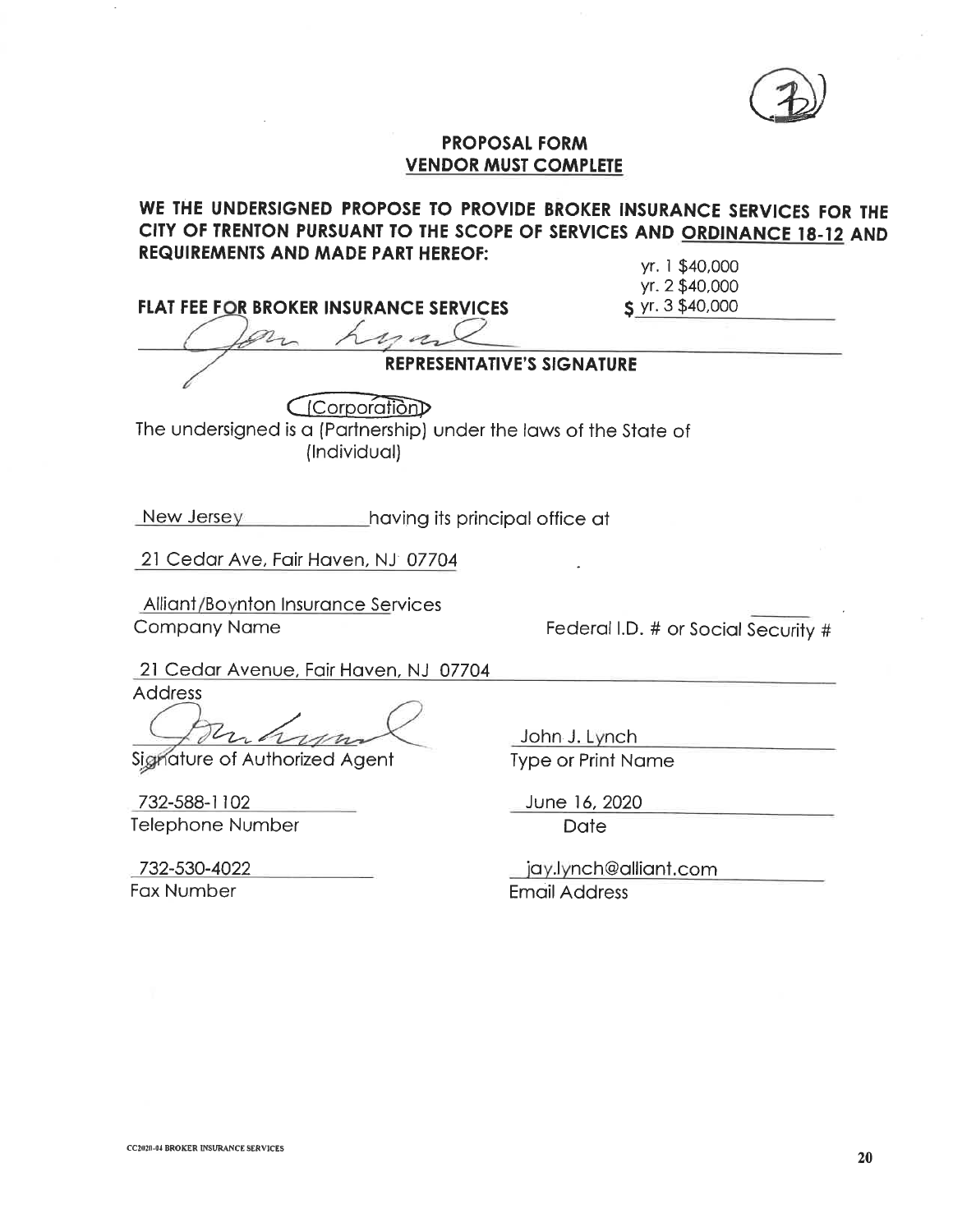

### **PROPOSAL FORM VENDOR MUST COMPLETE**

## WE THE UNDERSIGNED PROPOSE TO PROVIDE BROKER INSURANCE SERVICES FOR THE CITY OF TRENTON PURSUANT TO THE SCOPE OF SERVICES AND ORDINANCE 18-12 AND **REQUIREMENTS AND MADE PART HEREOF:**

FLAT FEE FOR BROKER INSURANCE SERVICES

#### yr. 1 \$40,000 yr. 2 \$40,000  $S$  yr. 3 \$40,000

## REPRESENTATIVE'S SIGNATURE

Ccorporation The undersigned is a (Partnership) under the laws of the State of (Individual)

New Jersey  $\_$ having its principal office at

21 Cedar Ave, Fair Haven, NJ 07704

**Alliant/Boynton Insurance Services Company Name** 

Federal I.D. # or Social Security #

21 Cedar Avenue, Fair Haven, NJ 07704

**Address** 

Signature of Authorized Agent

732-588-1102 Telephone Number

732-530-4022 Fax Number

John J. Lynch **Type or Print Name** 

June 16, 2020

**Date** 

jay.lynch@alliant.com **Email Address**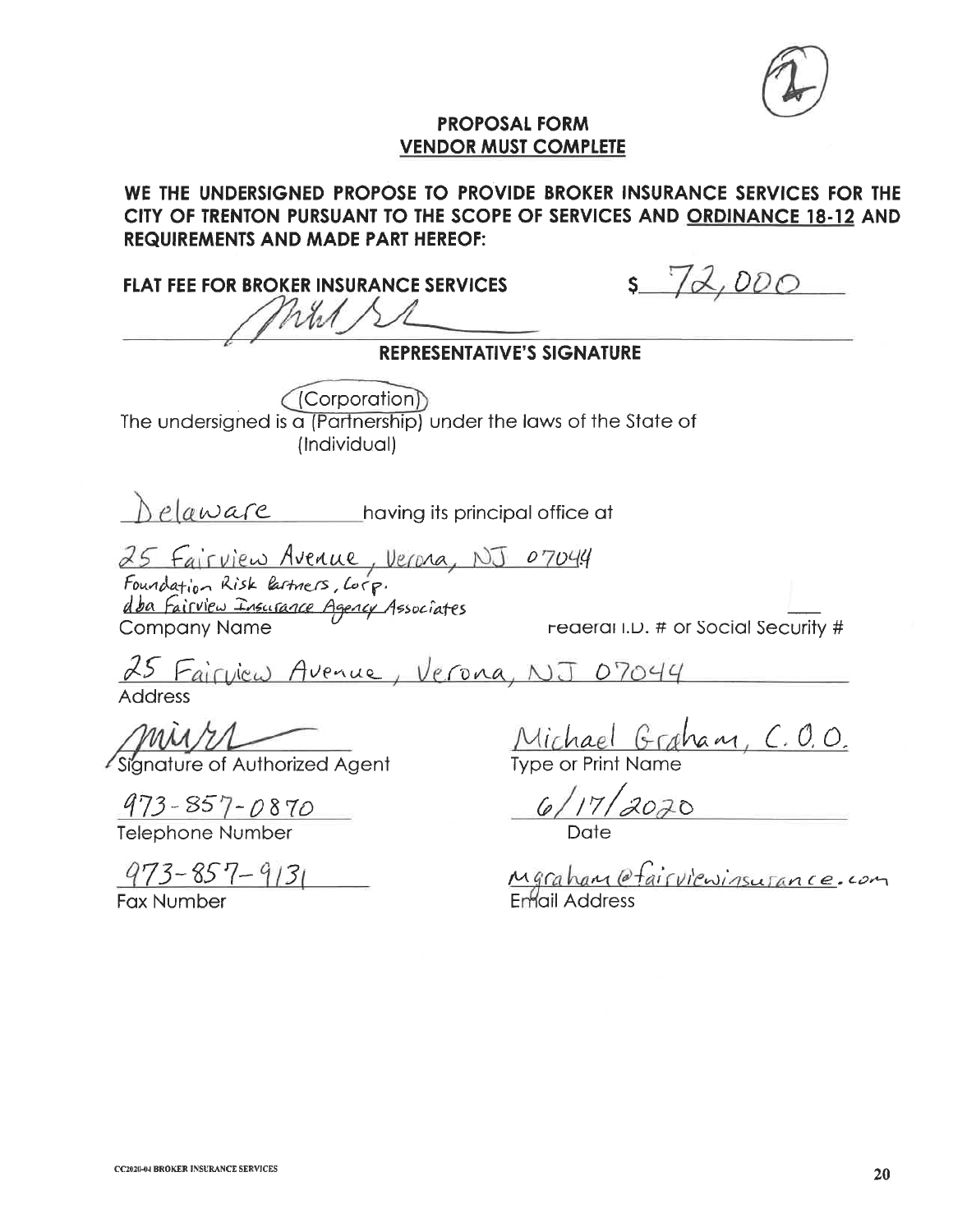### **PROPOSAL FORM VENDOR MUST COMPLETE**

# WE THE UNDERSIGNED PROPOSE TO PROVIDE BROKER INSURANCE SERVICES FOR THE CITY OF TRENTON PURSUANT TO THE SCOPE OF SERVICES AND ORDINANCE 18-12 AND **REQUIREMENTS AND MADE PART HEREOF:**

**FLAT FEE FOR BROKER INSURANCE SERVICES** hrst

 $572,000$ 

**REPRESENTATIVE'S SIGNATURE** (Corporation)) The undersigned is a (Partnership) under the laws of the State of (Individual) Delaware having its principal office at 25 Fairview Avenue, Verona, NJ 07044<br>Foundation Risk lactners, Corp.<br>dba Fairview Insurance Agency Associates<br>Company Name reae reaerand.D. # or Social Security # **Company Name** 25 Fairview Avenue, Verona, NJ 07044 **Address** MU/1/Let Signature of Authorized Agent Michael Graham, C.O.O. Type or Print Name  $\frac{973 - 857 - 0870}{Telephone Number}$ Mgraham @fairviewinsurance.com  $973 - 857 - 9131$ **Fax Number**